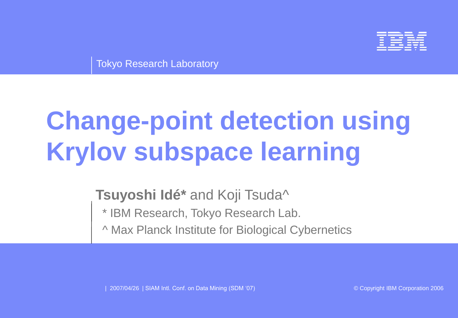

Tokyo Research Laboratory

# **Change-point detection using Krylov subspace learning**

**Tsuyoshi Idé\*** and Koji Tsuda^

\* IBM Research, Tokyo Research Lab.

^ Max Planck Institute for Biological Cybernetics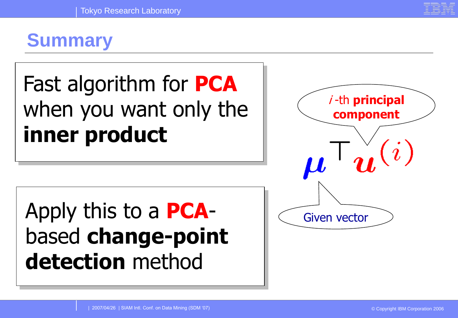## **Summary**

# Fast algorithm for **PCA** when you want only the **inner product**

# Apply this to a **PCA**based **change-point detection** method

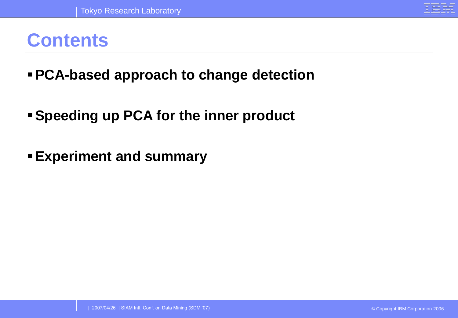

### **Contents**

- ▪**PCA-based approach to change detection**
- ▪**Speeding up PCA for the inner product**
- **Experiment and summary**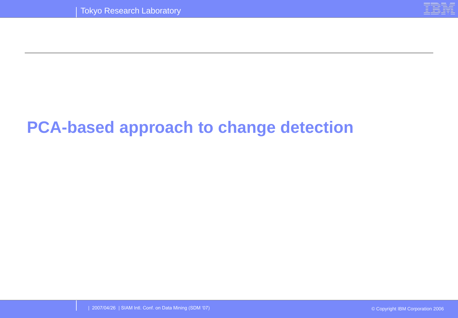

### **PCA-based approach to change detection**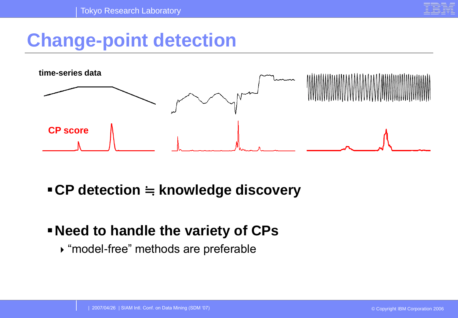

## **Change-point detection**



#### ▪**CP detection** ≒ **knowledge discovery**

#### ▪**Need to handle the variety of CPs**

"model-free" methods are preferable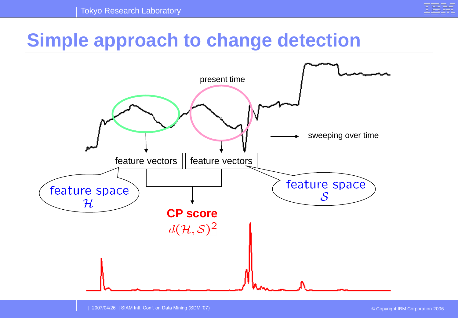

## **Simple approach to change detection**

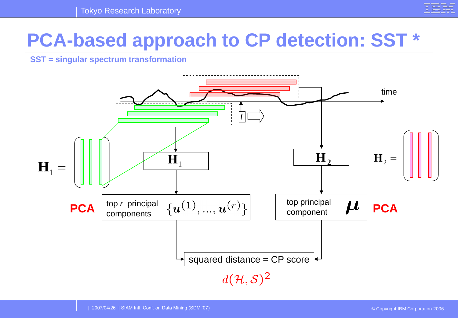

## **PCA-based approach to CP detection: SST \***

**SST = singular spectrum transformation**

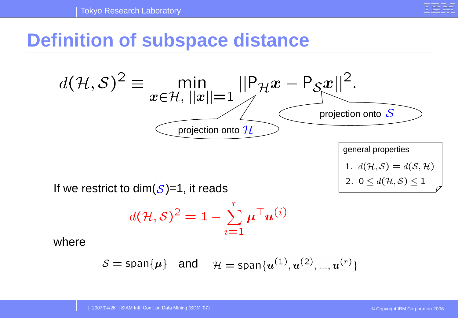

## **Definition of subspace distance**



If we restrict to dim( $S$ )=1, it reads

$$
d(\mathcal{H}, \mathcal{S})^2 = 1 - \sum_{i=1}^r \boldsymbol{\mu}^\top \boldsymbol{u}^{(i)}
$$

where

$$
\mathcal{S} = \text{span}\{\mu\} \quad \text{and} \quad \mathcal{H} = \text{span}\{u^{(1)}, u^{(2)}, ..., u^{(r)}\}
$$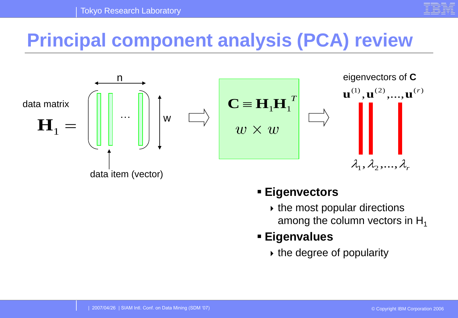

## **Principal component analysis (PCA) review**



#### ▪ **Eigenvectors**

 $\rightarrow$  the most popular directions among the column vectors in  $H_1$ 

#### ▪ **Eigenvalues**

 $\rightarrow$  the degree of popularity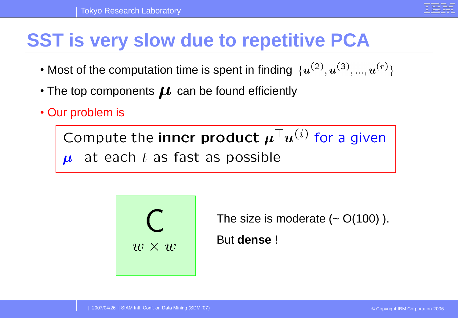## **SST is very slow due to repetitive PCA**

- Most of the computation time is spent in finding  $\{u^{(2)}, u^{(3)}, ..., u^{(r)}\}$
- The top components  $\mu$  can be found efficiently
- Our problem is

Compute the inner product  $\mu^{\top} u^{(i)}$  for a given  $\mu$  at each t as fast as possible



The size is moderate  $($   $\sim$   $O(100)$   $).$ But **dense** !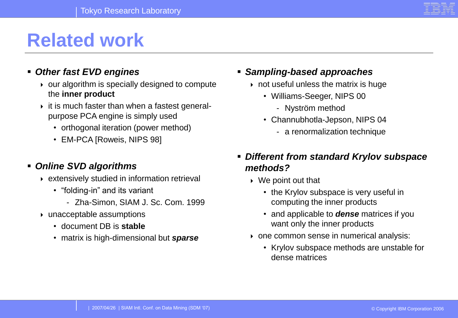

## **Related work**

#### ▪ *Other fast EVD engines*

- $\rightarrow$  our algorithm is specially designed to compute the **inner product**
- $\rightarrow$  it is much faster than when a fastest generalpurpose PCA engine is simply used
	- orthogonal iteration (power method)
	- EM-PCA [Roweis, NIPS 98]

#### ▪ *Online SVD algorithms*

- extensively studied in information retrieval
	- "folding-in" and its variant
		- Zha-Simon, SIAM J. Sc. Com. 1999
- unacceptable assumptions
	- document DB is **stable**
	- matrix is high-dimensional but *sparse*
- *Sampling-based approaches*
	- $\rightarrow$  not useful unless the matrix is huge
		- Williams-Seeger, NIPS 00
			- Nyström method
		- Channubhotla-Jepson, NIPS 04
			- a renormalization technique
- *Different from standard Krylov subspace methods?*
	- ▶ We point out that
		- the Krylov subspace is very useful in computing the inner products
		- and applicable to *dense* matrices if you want only the inner products
	- ▶ one common sense in numerical analysis:
		- Krylov subspace methods are unstable for dense matrices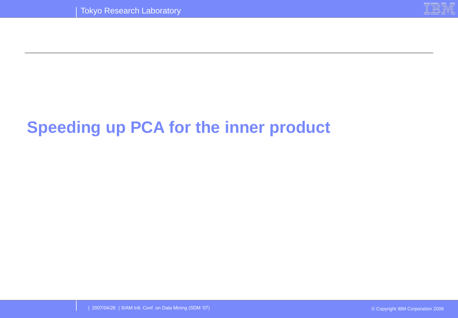

## **Speeding up PCA for the inner product**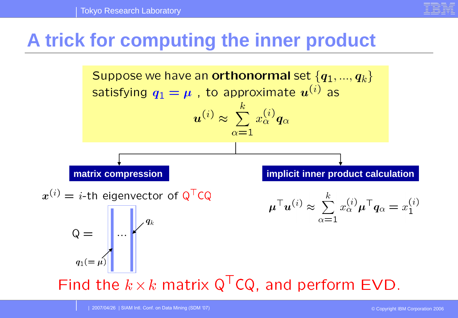

## **A trick for computing the inner product**

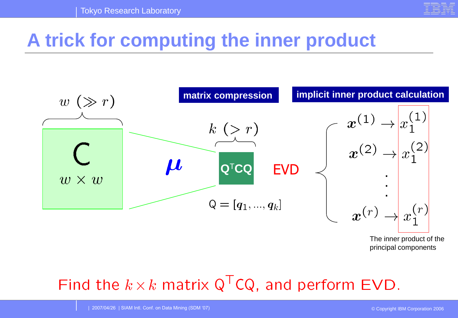

## **A trick for computing the inner product**



The inner product of the principal components

## Find the  $k \times k$  matrix Q<sup>T</sup>CQ, and perform EVD.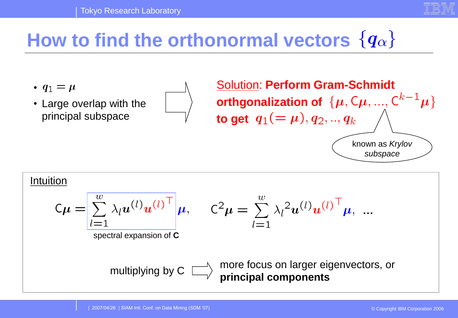

## How to find the orthonormal vectors  $\{q_\alpha\}$

- $q_1 = \mu$
- Large overlap with the principal subspace

Solution: **Perform Gram-Schmidt orthgonalization of**  $\{\boldsymbol{\mu}, \mathsf{C}\boldsymbol{\mu}, ..., \mathsf{C}^{k-1}\boldsymbol{\mu}\}$ **to get**  $q_1 (= \mu), q_2, ..., q_k$ known as *Krylov subspace*

#### Intuition

$$
C\boldsymbol{\mu} = \left[\sum_{l=1}^{w} \lambda_l \boldsymbol{u}^{(l)} \boldsymbol{u}^{(l)}^\top \right] \boldsymbol{\mu},
$$

$$
C^2 \boldsymbol{\mu} = \sum_{l=1}^w \lambda_l^2 \boldsymbol{u}^{(l)} \boldsymbol{u}^{(l)}^\top \boldsymbol{\mu}, \dots
$$

spectral expansion of **C**

$$
\quad \text{multiplying by C }\quad \Box
$$

more focus on larger eigenvectors, or **principal components**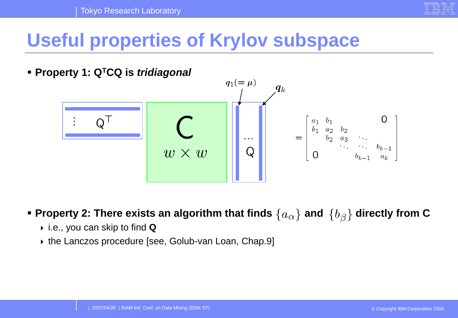

## **Useful properties of Krylov subspace**



#### **▪ Property 2: There exists an algorithm that finds**  $\{a_{\alpha}\}$  **and**  $\{b_{\beta}\}$  **directly from C**

- i.e., you can skip to find **Q**
- ▶ the Lanczos procedure [see, Golub-van Loan, Chap.9]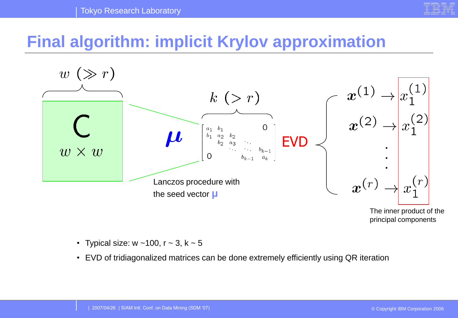

#### **Final algorithm: implicit Krylov approximation**



The inner product of the principal components

- Typical size:  $w$  ~100,  $r$  ~ 3,  $k$  ~ 5
- EVD of tridiagonalized matrices can be done extremely efficiently using QR iteration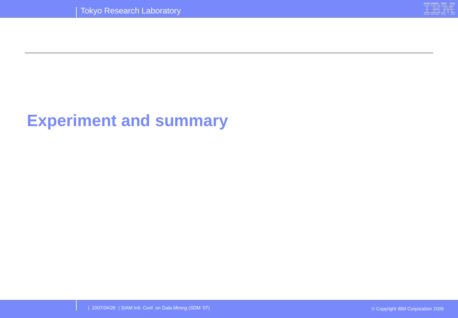

#### **Experiment and summary**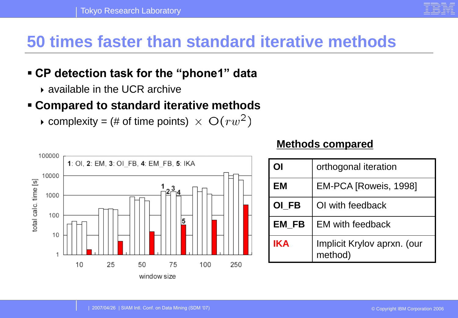#### **50 times faster than standard iterative methods**

#### ▪ **CP detection task for the "phone1" data**

available in the UCR archive

#### ▪ **Compared to standard iterative methods**

complexity = (# of time points)  $\times$   $O(rw^2)$ 



#### **Methods compared**

| ОI         | orthogonal iteration                   |
|------------|----------------------------------------|
| <b>EM</b>  | EM-PCA [Roweis, 1998]                  |
| OI FB      | OI with feedback                       |
| EM FB      | <b>EM with feedback</b>                |
| <b>IKA</b> | Implicit Krylov aprxn. (our<br>method) |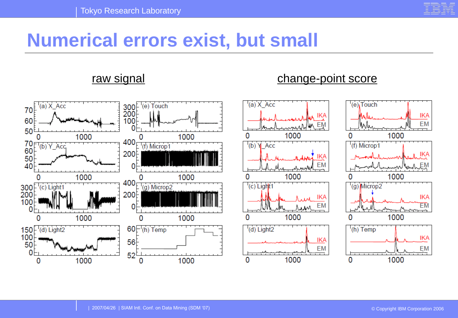

## **Numerical errors exist, but small**

#### raw signal change-point score

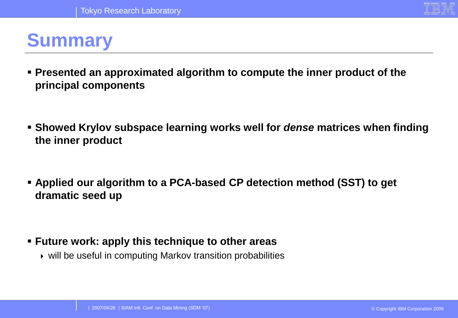

## **Summary**

- **Presented an approximated algorithm to compute the inner product of the principal components**
- **Example 3 Showed Krylov subspace learning works well for** *dense* **matrices when finding the inner product**
- **Applied our algorithm to a PCA-based CP detection method (SST) to get dramatic seed up**

#### ▪ **Future work: apply this technique to other areas**

will be useful in computing Markov transition probabilities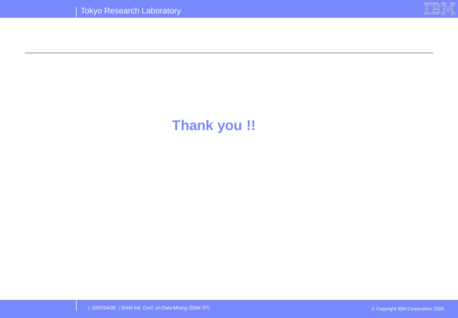

#### **Thank you !!**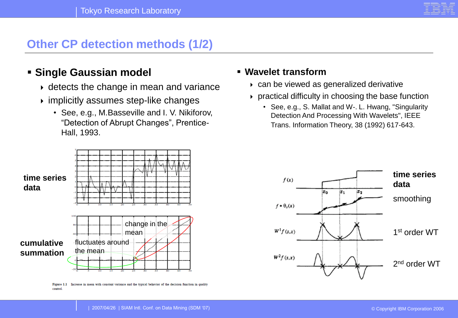

#### **Other CP detection methods (1/2)**

#### ▪ **Single Gaussian model**

- $\rightarrow$  detects the change in mean and variance
- $\rightarrow$  implicitly assumes step-like changes
	- See, e.g., M.Basseville and I. V. Nikiforov, "Detection of Abrupt Changes", Prentice-Hall, 1993.



Figure 1.1 Increase in mean with constant variance and the typical behavior of the decision function in quality control.

#### ▪ **Wavelet transform**

- can be viewed as generalized derivative
- $\rightarrow$  practical difficulty in choosing the base function
	- See, e.g., S. Mallat and W-. L. Hwang, "Singularity Detection And Processing With Wavelets", IEEE Trans. Information Theory, 38 (1992) 617-643.